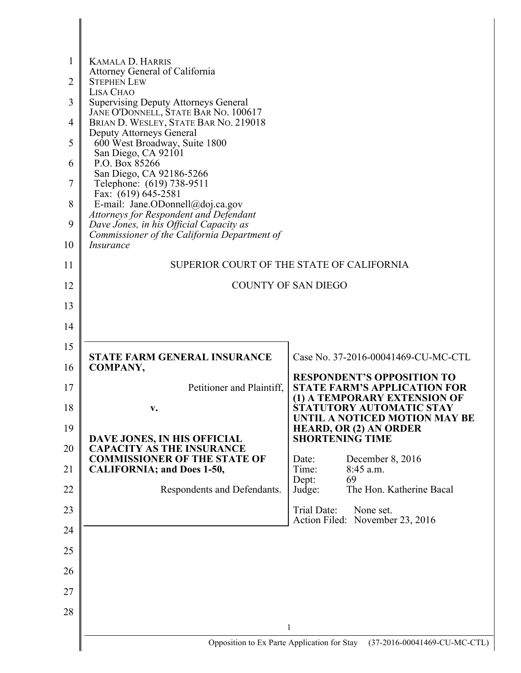| 1<br>$\overline{2}$ | <b>KAMALA D. HARRIS</b><br>Attorney General of California<br><b>STEPHEN LEW</b>   |                                                                     |  |  |  |
|---------------------|-----------------------------------------------------------------------------------|---------------------------------------------------------------------|--|--|--|
| 3                   | LISA CHAO<br><b>Supervising Deputy Attorneys General</b>                          |                                                                     |  |  |  |
| $\overline{4}$      | JANE O'DONNELL, STATE BAR NO. 100617<br>BRIAN D. WESLEY, STATE BAR NO. 219018     |                                                                     |  |  |  |
| 5                   | <b>Deputy Attorneys General</b><br>600 West Broadway, Suite 1800                  |                                                                     |  |  |  |
| 6                   | San Diego, CA 92101<br>P.O. Box 85266                                             |                                                                     |  |  |  |
| 7                   | San Diego, CA 92186-5266<br>Telephone: (619) 738-9511                             |                                                                     |  |  |  |
| 8                   | Fax: (619) 645-2581<br>E-mail: Jane.ODonnell@doj.ca.gov                           |                                                                     |  |  |  |
| 9                   | Attorneys for Respondent and Defendant<br>Dave Jones, in his Official Capacity as |                                                                     |  |  |  |
| 10                  | Commissioner of the California Department of<br><i>Insurance</i>                  |                                                                     |  |  |  |
| 11                  |                                                                                   | SUPERIOR COURT OF THE STATE OF CALIFORNIA                           |  |  |  |
| 12                  |                                                                                   | <b>COUNTY OF SAN DIEGO</b>                                          |  |  |  |
| 13                  |                                                                                   |                                                                     |  |  |  |
| 14                  |                                                                                   |                                                                     |  |  |  |
| 15                  | <b>STATE FARM GENERAL INSURANCE</b>                                               | Case No. 37-2016-00041469-CU-MC-CTL                                 |  |  |  |
| 16                  | COMPANY,                                                                          | <b>RESPONDENT'S OPPOSITION TO</b>                                   |  |  |  |
| 17                  | Petitioner and Plaintiff,                                                         | <b>STATE FARM'S APPLICATION FOR</b><br>(1) A TEMPORARY EXTENSION OF |  |  |  |
| 18                  | v.                                                                                | STATUTORY AUTOMATIC STAY<br>UNTIL A NOTICED MOTION MAY BE           |  |  |  |
| 19                  | DAVE JONES, IN HIS OFFICIAL                                                       | <b>HEARD, OR (2) AN ORDER</b><br><b>SHORTENING TIME</b>             |  |  |  |
| 20                  | <b>CAPACITY AS THE INSURANCE</b><br><b>COMMISSIONER OF THE STATE OF</b>           | December 8, 2016<br>Date:                                           |  |  |  |
| 21                  | <b>CALIFORNIA; and Does 1-50,</b>                                                 | Time:<br>$8:45$ a.m.<br>69<br>Dept:                                 |  |  |  |
| 22                  | Respondents and Defendants.                                                       | The Hon. Katherine Bacal<br>Judge:                                  |  |  |  |
| 23                  |                                                                                   | Trial Date:<br>None set.<br>Action Filed: November 23, 2016         |  |  |  |
| 24                  |                                                                                   |                                                                     |  |  |  |
| 25                  |                                                                                   |                                                                     |  |  |  |
| 26                  |                                                                                   |                                                                     |  |  |  |
| 27<br>28            |                                                                                   |                                                                     |  |  |  |
|                     |                                                                                   | 1                                                                   |  |  |  |
|                     | Opposition to Ex Parte Application for Stay                                       | (37-2016-00041469-CU-MC-CTL)                                        |  |  |  |

 $\overline{\phantom{a}}$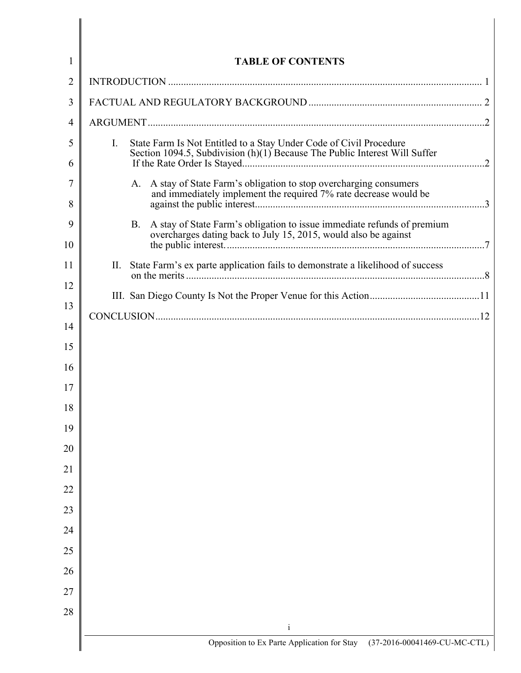| 1              | <b>TABLE OF CONTENTS</b>                                                                                                                                 |  |  |
|----------------|----------------------------------------------------------------------------------------------------------------------------------------------------------|--|--|
| $\overline{2}$ |                                                                                                                                                          |  |  |
| 3              |                                                                                                                                                          |  |  |
| 4              |                                                                                                                                                          |  |  |
| 5<br>6         | I.<br>State Farm Is Not Entitled to a Stay Under Code of Civil Procedure<br>Section 1094.5, Subdivision $(h)(1)$ Because The Public Interest Will Suffer |  |  |
| 7<br>8         | A stay of State Farm's obligation to stop overcharging consumers<br>A.<br>and immediately implement the required 7% rate decrease would be               |  |  |
| 9<br>10        | <b>B.</b><br>A stay of State Farm's obligation to issue immediate refunds of premium<br>overcharges dating back to July 15, 2015, would also be against  |  |  |
| 11             | State Farm's ex parte application fails to demonstrate a likelihood of success<br>П.                                                                     |  |  |
| 12<br>13       |                                                                                                                                                          |  |  |
| 14             |                                                                                                                                                          |  |  |
| 15             |                                                                                                                                                          |  |  |
| 16             |                                                                                                                                                          |  |  |
| 17             |                                                                                                                                                          |  |  |
| 18<br>19       |                                                                                                                                                          |  |  |
| 20             |                                                                                                                                                          |  |  |
| 21             |                                                                                                                                                          |  |  |
| 22             |                                                                                                                                                          |  |  |
| 23             |                                                                                                                                                          |  |  |
| 24             |                                                                                                                                                          |  |  |
| 25             |                                                                                                                                                          |  |  |
| 26             |                                                                                                                                                          |  |  |
| 27             |                                                                                                                                                          |  |  |
| 28             |                                                                                                                                                          |  |  |
|                | $\mathbf{i}$                                                                                                                                             |  |  |
|                | Opposition to Ex Parte Application for Stay (37-2016-00041469-CU-MC-CTL)                                                                                 |  |  |

 $\parallel$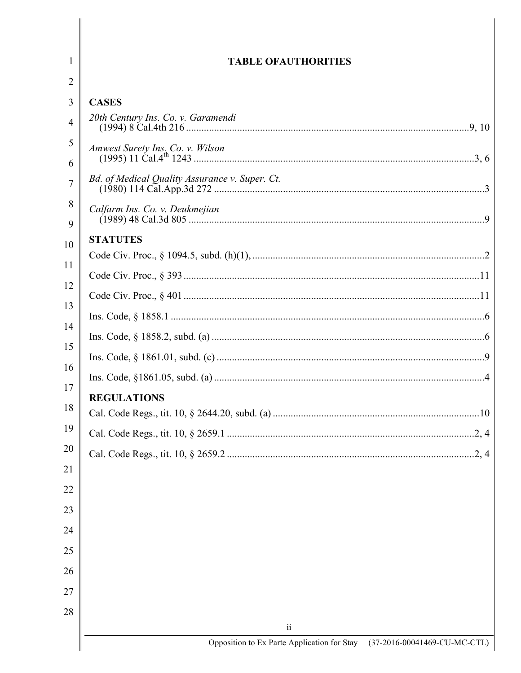| <b>TABLE OFAUTHORITIES</b>                     |
|------------------------------------------------|
|                                                |
| <b>CASES</b>                                   |
| 20th Century Ins. Co. v. Garamendi             |
|                                                |
| Bd. of Medical Quality Assurance v. Super. Ct. |
| Calfarm Ins. Co. v. Deukmejian                 |
| <b>STATUTES</b>                                |
|                                                |
|                                                |
|                                                |
|                                                |
|                                                |
|                                                |
|                                                |
| <b>REGULATIONS</b>                             |
|                                                |
| .2, 4                                          |
| .2, 4                                          |
|                                                |
|                                                |
|                                                |
|                                                |
|                                                |
|                                                |
|                                                |
|                                                |
| $\overline{\mathbf{u}}$                        |

 $\mathsf{l}$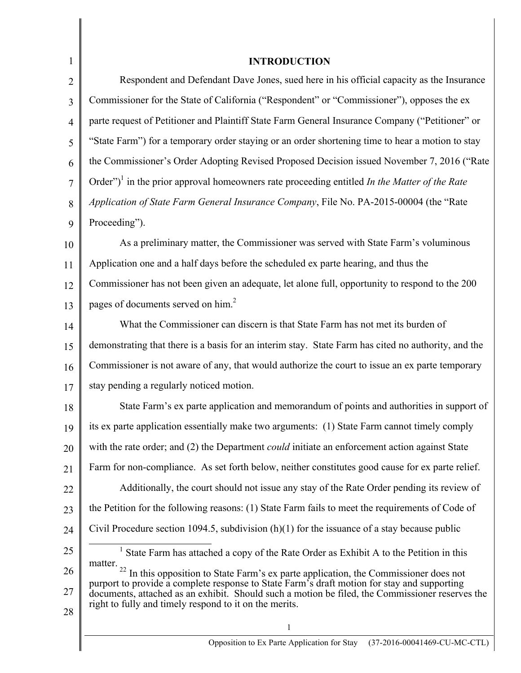| $\mathbf{1}$   | <b>INTRODUCTION</b>                                                                                                                                                                                                                                                                                                                                                 |
|----------------|---------------------------------------------------------------------------------------------------------------------------------------------------------------------------------------------------------------------------------------------------------------------------------------------------------------------------------------------------------------------|
| $\overline{2}$ | Respondent and Defendant Dave Jones, sued here in his official capacity as the Insurance                                                                                                                                                                                                                                                                            |
| 3              | Commissioner for the State of California ("Respondent" or "Commissioner"), opposes the ex                                                                                                                                                                                                                                                                           |
| $\overline{4}$ | parte request of Petitioner and Plaintiff State Farm General Insurance Company ("Petitioner" or                                                                                                                                                                                                                                                                     |
| 5              | "State Farm") for a temporary order staying or an order shortening time to hear a motion to stay                                                                                                                                                                                                                                                                    |
| 6              | the Commissioner's Order Adopting Revised Proposed Decision issued November 7, 2016 ("Rate                                                                                                                                                                                                                                                                          |
| $\overline{7}$ | Order") <sup>1</sup> in the prior approval homeowners rate proceeding entitled <i>In the Matter of the Rate</i>                                                                                                                                                                                                                                                     |
| 8              | Application of State Farm General Insurance Company, File No. PA-2015-00004 (the "Rate                                                                                                                                                                                                                                                                              |
| 9              | Proceeding").                                                                                                                                                                                                                                                                                                                                                       |
| 10             | As a preliminary matter, the Commissioner was served with State Farm's voluminous                                                                                                                                                                                                                                                                                   |
| 11             | Application one and a half days before the scheduled ex parte hearing, and thus the                                                                                                                                                                                                                                                                                 |
| 12             | Commissioner has not been given an adequate, let alone full, opportunity to respond to the 200                                                                                                                                                                                                                                                                      |
| 13             | pages of documents served on him. <sup>2</sup>                                                                                                                                                                                                                                                                                                                      |
| 14             | What the Commissioner can discern is that State Farm has not met its burden of                                                                                                                                                                                                                                                                                      |
| 15             | demonstrating that there is a basis for an interim stay. State Farm has cited no authority, and the                                                                                                                                                                                                                                                                 |
| 16             | Commissioner is not aware of any, that would authorize the court to issue an ex parte temporary                                                                                                                                                                                                                                                                     |
| 17             | stay pending a regularly noticed motion.                                                                                                                                                                                                                                                                                                                            |
| 18             | State Farm's ex parte application and memorandum of points and authorities in support of                                                                                                                                                                                                                                                                            |
| 19             | its ex parte application essentially make two arguments: (1) State Farm cannot timely comply                                                                                                                                                                                                                                                                        |
| 20             | with the rate order; and (2) the Department <i>could</i> initiate an enforcement action against State                                                                                                                                                                                                                                                               |
| 21             | Farm for non-compliance. As set forth below, neither constitutes good cause for ex parte relief.                                                                                                                                                                                                                                                                    |
| 22             | Additionally, the court should not issue any stay of the Rate Order pending its review of                                                                                                                                                                                                                                                                           |
| 23             | the Petition for the following reasons: (1) State Farm fails to meet the requirements of Code of                                                                                                                                                                                                                                                                    |
| 24             | Civil Procedure section 1094.5, subdivision $(h)(1)$ for the issuance of a stay because public                                                                                                                                                                                                                                                                      |
| 25             | <sup>1</sup> State Farm has attached a copy of the Rate Order as Exhibit A to the Petition in this                                                                                                                                                                                                                                                                  |
| 26<br>27<br>28 | matter.<br>$22\,$<br>In this opposition to State Farm's ex parte application, the Commissioner does not<br>purport to provide a complete response to State Farm's draft motion for stay and supporting<br>documents, attached as an exhibit. Should such a motion be filed, the Commissioner reserves the<br>right to fully and timely respond to it on the merits. |
|                | 1                                                                                                                                                                                                                                                                                                                                                                   |
|                | (37-2016-00041469-CU-MC-CTL)<br>Opposition to Ex Parte Application for Stay                                                                                                                                                                                                                                                                                         |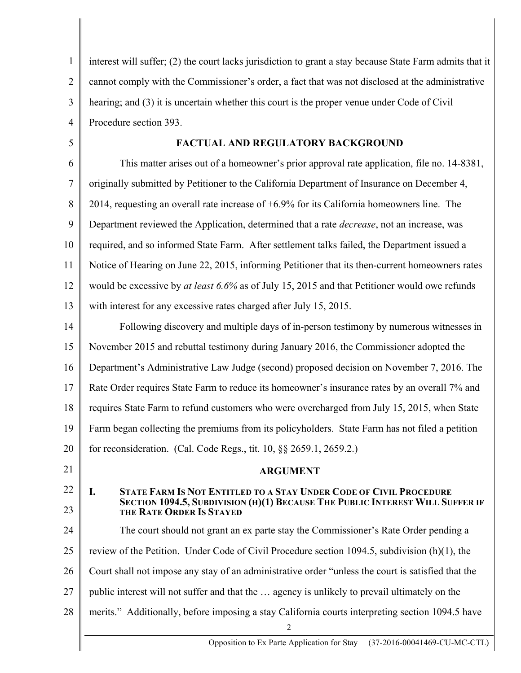1 2 3 4 5 6 7 8 9 10 11 12 13 14 15 16 17 18 19 20 21 22 23 24 25 26 27 28 2 Opposition to Ex Parte Application for Stay (37-2016-00041469-CU-MC-CTL) interest will suffer; (2) the court lacks jurisdiction to grant a stay because State Farm admits that it cannot comply with the Commissioner's order, a fact that was not disclosed at the administrative hearing; and (3) it is uncertain whether this court is the proper venue under Code of Civil Procedure section 393. **FACTUAL AND REGULATORY BACKGROUND** This matter arises out of a homeowner's prior approval rate application, file no. 14-8381, originally submitted by Petitioner to the California Department of Insurance on December 4, 2014, requesting an overall rate increase of +6.9% for its California homeowners line. The Department reviewed the Application, determined that a rate *decrease*, not an increase, was required, and so informed State Farm. After settlement talks failed, the Department issued a Notice of Hearing on June 22, 2015, informing Petitioner that its then-current homeowners rates would be excessive by *at least 6.6%* as of July 15, 2015 and that Petitioner would owe refunds with interest for any excessive rates charged after July 15, 2015. Following discovery and multiple days of in-person testimony by numerous witnesses in November 2015 and rebuttal testimony during January 2016, the Commissioner adopted the Department's Administrative Law Judge (second) proposed decision on November 7, 2016. The Rate Order requires State Farm to reduce its homeowner's insurance rates by an overall 7% and requires State Farm to refund customers who were overcharged from July 15, 2015, when State Farm began collecting the premiums from its policyholders. State Farm has not filed a petition for reconsideration. (Cal. Code Regs., tit. 10, §§ 2659.1, 2659.2.) **ARGUMENT I. STATE FARM IS NOT ENTITLED TO A STAY UNDER CODE OF CIVIL PROCEDURE SECTION 1094.5, SUBDIVISION (H)(1) BECAUSE THE PUBLIC INTEREST WILL SUFFER IF THE RATE ORDER IS STAYED** The court should not grant an ex parte stay the Commissioner's Rate Order pending a review of the Petition. Under Code of Civil Procedure section 1094.5, subdivision (h)(1), the Court shall not impose any stay of an administrative order "unless the court is satisfied that the public interest will not suffer and that the … agency is unlikely to prevail ultimately on the merits." Additionally, before imposing a stay California courts interpreting section 1094.5 have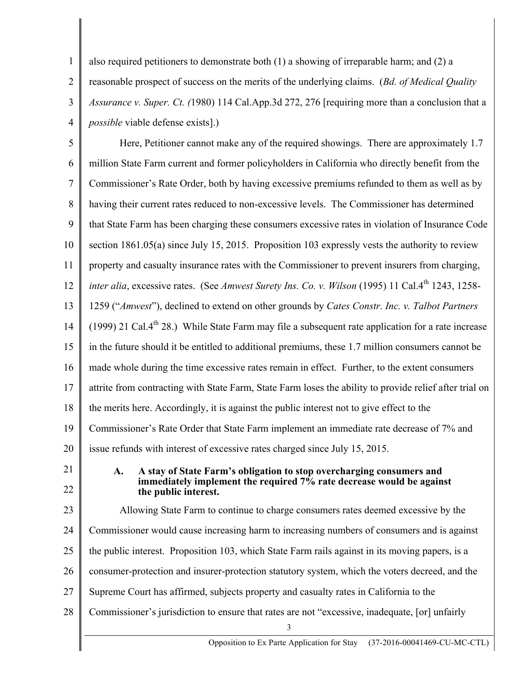1 2 3 4 also required petitioners to demonstrate both (1) a showing of irreparable harm; and (2) a reasonable prospect of success on the merits of the underlying claims. (*Bd. of Medical Quality Assurance v. Super. Ct. (*1980) 114 Cal.App.3d 272, 276 [requiring more than a conclusion that a *possible* viable defense exists].)

5 6 7 8 9 10 11 12 13 14 15 16 17 18 19 20 21 22 23 24 25 26 27 Here, Petitioner cannot make any of the required showings. There are approximately 1.7 million State Farm current and former policyholders in California who directly benefit from the Commissioner's Rate Order, both by having excessive premiums refunded to them as well as by having their current rates reduced to non-excessive levels. The Commissioner has determined that State Farm has been charging these consumers excessive rates in violation of Insurance Code section 1861.05(a) since July 15, 2015. Proposition 103 expressly vests the authority to review property and casualty insurance rates with the Commissioner to prevent insurers from charging, *inter alia*, excessive rates. (See *Amwest Surety Ins. Co. v. Wilson* (1995) 11 Cal.4<sup>th</sup> 1243, 1258-1259 ("*Amwest*"), declined to extend on other grounds by *Cates Constr. Inc. v. Talbot Partners* (1999) 21 Cal. $4<sup>th</sup>$  28.) While State Farm may file a subsequent rate application for a rate increase in the future should it be entitled to additional premiums, these 1.7 million consumers cannot be made whole during the time excessive rates remain in effect. Further, to the extent consumers attrite from contracting with State Farm, State Farm loses the ability to provide relief after trial on the merits here. Accordingly, it is against the public interest not to give effect to the Commissioner's Rate Order that State Farm implement an immediate rate decrease of 7% and issue refunds with interest of excessive rates charged since July 15, 2015. **A. A stay of State Farm's obligation to stop overcharging consumers and immediately implement the required 7% rate decrease would be against the public interest.** Allowing State Farm to continue to charge consumers rates deemed excessive by the Commissioner would cause increasing harm to increasing numbers of consumers and is against the public interest. Proposition 103, which State Farm rails against in its moving papers, is a consumer-protection and insurer-protection statutory system, which the voters decreed, and the Supreme Court has affirmed, subjects property and casualty rates in California to the

- 28 Commissioner's jurisdiction to ensure that rates are not "excessive, inadequate, [or] unfairly
	- 3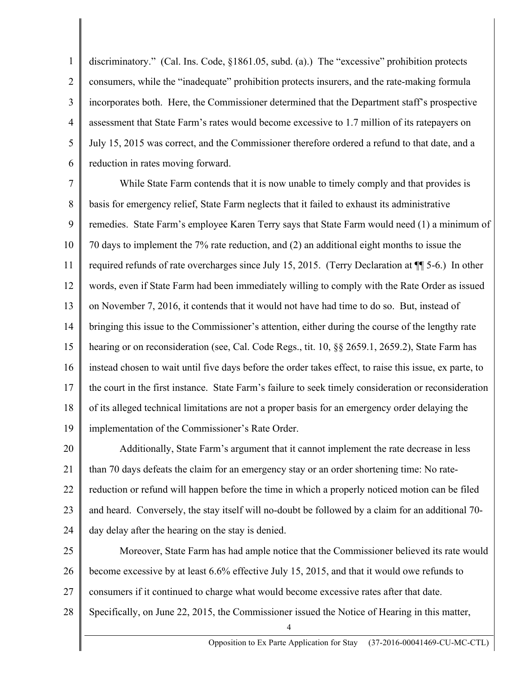1 2 3 4 5 6 discriminatory." (Cal. Ins. Code, §1861.05, subd. (a).) The "excessive" prohibition protects consumers, while the "inadequate" prohibition protects insurers, and the rate-making formula incorporates both. Here, the Commissioner determined that the Department staff's prospective assessment that State Farm's rates would become excessive to 1.7 million of its ratepayers on July 15, 2015 was correct, and the Commissioner therefore ordered a refund to that date, and a reduction in rates moving forward.

7 8 9 10 11 12 13 14 15 16 17 18 19 While State Farm contends that it is now unable to timely comply and that provides is basis for emergency relief, State Farm neglects that it failed to exhaust its administrative remedies. State Farm's employee Karen Terry says that State Farm would need (1) a minimum of 70 days to implement the 7% rate reduction, and (2) an additional eight months to issue the required refunds of rate overcharges since July 15, 2015. (Terry Declaration at ¶¶ 5-6.) In other words, even if State Farm had been immediately willing to comply with the Rate Order as issued on November 7, 2016, it contends that it would not have had time to do so. But, instead of bringing this issue to the Commissioner's attention, either during the course of the lengthy rate hearing or on reconsideration (see, Cal. Code Regs., tit. 10, §§ 2659.1, 2659.2), State Farm has instead chosen to wait until five days before the order takes effect, to raise this issue, ex parte, to the court in the first instance. State Farm's failure to seek timely consideration or reconsideration of its alleged technical limitations are not a proper basis for an emergency order delaying the implementation of the Commissioner's Rate Order.

20 21 22 23 24 Additionally, State Farm's argument that it cannot implement the rate decrease in less than 70 days defeats the claim for an emergency stay or an order shortening time: No ratereduction or refund will happen before the time in which a properly noticed motion can be filed and heard. Conversely, the stay itself will no-doubt be followed by a claim for an additional 70 day delay after the hearing on the stay is denied.

25 26 27 Moreover, State Farm has had ample notice that the Commissioner believed its rate would become excessive by at least 6.6% effective July 15, 2015, and that it would owe refunds to consumers if it continued to charge what would become excessive rates after that date.

28 Specifically, on June 22, 2015, the Commissioner issued the Notice of Hearing in this matter,

4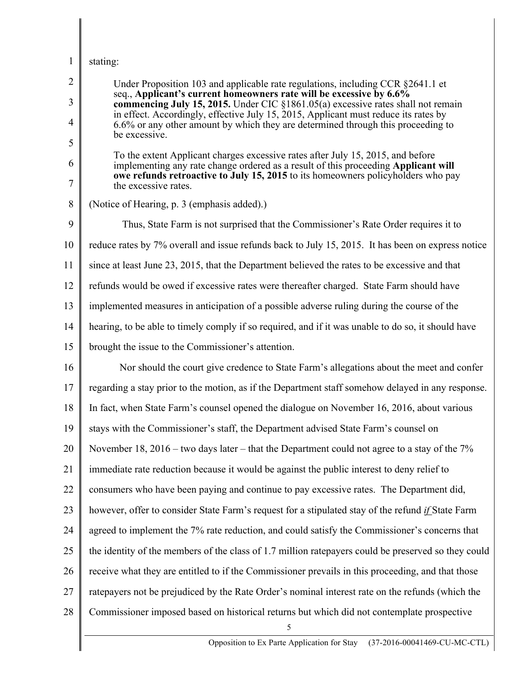## 1 stating:

| $\overline{2}$      | Under Proposition 103 and applicable rate regulations, including CCR §2641.1 et<br>seq., Applicant's current homeowners rate will be excessive by 6.6%                  |
|---------------------|-------------------------------------------------------------------------------------------------------------------------------------------------------------------------|
| 3                   | commencing July 15, 2015. Under CIC §1861.05(a) excessive rates shall not remain<br>in effect. Accordingly, effective July 15, 2015, Applicant must reduce its rates by |
| $\overline{4}$<br>5 | 6.6% or any other amount by which they are determined through this proceeding to<br>be excessive.                                                                       |
| 6                   | To the extent Applicant charges excessive rates after July 15, 2015, and before<br>implementing any rate change ordered as a result of this proceeding Applicant will   |
| $\tau$              | owe refunds retroactive to July 15, 2015 to its homeowners policyholders who pay<br>the excessive rates.                                                                |
| $8\,$               | (Notice of Hearing, p. 3 (emphasis added).)                                                                                                                             |
| 9                   | Thus, State Farm is not surprised that the Commissioner's Rate Order requires it to                                                                                     |
| 10                  | reduce rates by 7% overall and issue refunds back to July 15, 2015. It has been on express notice                                                                       |
| 11                  | since at least June 23, 2015, that the Department believed the rates to be excessive and that                                                                           |
| 12                  | refunds would be owed if excessive rates were thereafter charged. State Farm should have                                                                                |
| 13                  | implemented measures in anticipation of a possible adverse ruling during the course of the                                                                              |
| 14                  | hearing, to be able to timely comply if so required, and if it was unable to do so, it should have                                                                      |
| 15                  | brought the issue to the Commissioner's attention.                                                                                                                      |
| 16                  | Nor should the court give credence to State Farm's allegations about the meet and confer                                                                                |
| 17                  | regarding a stay prior to the motion, as if the Department staff somehow delayed in any response.                                                                       |
| 18                  | In fact, when State Farm's counsel opened the dialogue on November 16, 2016, about various                                                                              |
| 19                  | stays with the Commissioner's staff, the Department advised State Farm's counsel on                                                                                     |
| 20                  | November 18, 2016 – two days later – that the Department could not agree to a stay of the $7\%$                                                                         |
| 21                  | immediate rate reduction because it would be against the public interest to deny relief to                                                                              |
| 22                  | consumers who have been paying and continue to pay excessive rates. The Department did,                                                                                 |
| 23                  | however, offer to consider State Farm's request for a stipulated stay of the refund if State Farm                                                                       |
| 24                  | agreed to implement the 7% rate reduction, and could satisfy the Commissioner's concerns that                                                                           |
| 25                  | the identity of the members of the class of 1.7 million ratepayers could be preserved so they could                                                                     |
| 26                  | receive what they are entitled to if the Commissioner prevails in this proceeding, and that those                                                                       |
| 27                  | rate payers not be prejudiced by the Rate Order's nominal interest rate on the refunds (which the                                                                       |
| 28                  | Commissioner imposed based on historical returns but which did not contemplate prospective<br>5                                                                         |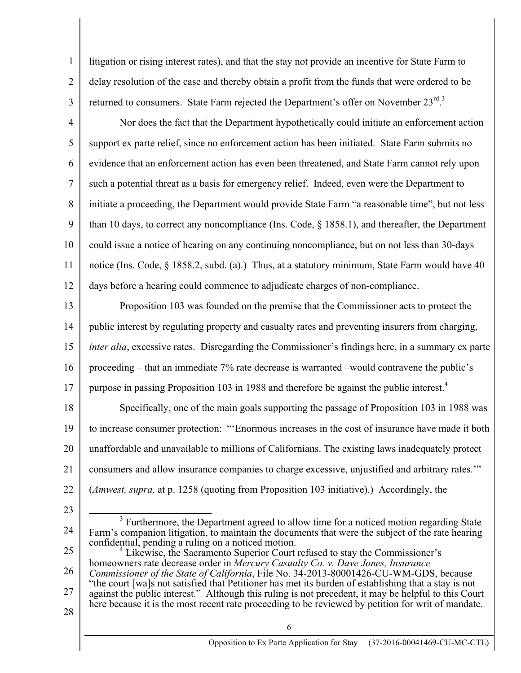1 2 3 litigation or rising interest rates), and that the stay not provide an incentive for State Farm to delay resolution of the case and thereby obtain a profit from the funds that were ordered to be returned to consumers. State Farm rejected the Department's offer on November  $23^{\text{rd}}$ .

4 5 6 7 8 9 10 11 12 Nor does the fact that the Department hypothetically could initiate an enforcement action support ex parte relief, since no enforcement action has been initiated. State Farm submits no evidence that an enforcement action has even been threatened, and State Farm cannot rely upon such a potential threat as a basis for emergency relief. Indeed, even were the Department to initiate a proceeding, the Department would provide State Farm "a reasonable time", but not less than 10 days, to correct any noncompliance (Ins. Code, § 1858.1), and thereafter, the Department could issue a notice of hearing on any continuing noncompliance, but on not less than 30-days notice (Ins. Code, § 1858.2, subd. (a).) Thus, at a statutory minimum, State Farm would have 40 days before a hearing could commence to adjudicate charges of non-compliance.

13 14 15 16 17 Proposition 103 was founded on the premise that the Commissioner acts to protect the public interest by regulating property and casualty rates and preventing insurers from charging, *inter alia*, excessive rates. Disregarding the Commissioner's findings here, in a summary ex parte proceeding – that an immediate 7% rate decrease is warranted –would contravene the public's purpose in passing Proposition 103 in 1988 and therefore be against the public interest.<sup>4</sup>

18 19 20 21 22 Specifically, one of the main goals supporting the passage of Proposition 103 in 1988 was to increase consumer protection: "'Enormous increases in the cost of insurance have made it both unaffordable and unavailable to millions of Californians. The existing laws inadequately protect consumers and allow insurance companies to charge excessive, unjustified and arbitrary rates.'" (*Amwest, supra,* at p. 1258 (quoting from Proposition 103 initiative).) Accordingly, the

- 23
- 24 <sup>3</sup> Furthermore, the Department agreed to allow time for a noticed motion regarding State Farm's companion litigation, to maintain the documents that were the subject of the rate hearing confidential, pending a ruling on a noticed motion.
- 25 26 27 28 Likewise, the Sacramento Superior Court refused to stay the Commissioner's homeowners rate decrease order in *Mercury Casualty Co. v. Dave Jones, Insurance Commissioner of the State of California*, File No. 34-2013-80001426-CU-WM-GDS, because "the court [wa]s not satisfied that Petitioner has met its burden of establishing that a stay is not against the public interest." Although this ruling is not precedent, it may be helpful to this Court here because it is the most recent rate proceeding to be reviewed by petition for writ of mandate.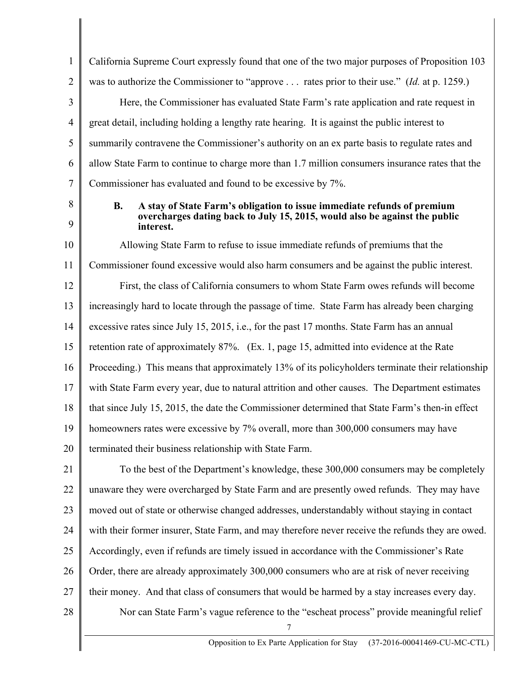1 2 3 4 5 6 7 California Supreme Court expressly found that one of the two major purposes of Proposition 103 was to authorize the Commissioner to "approve . . . rates prior to their use." (*Id.* at p. 1259.) Here, the Commissioner has evaluated State Farm's rate application and rate request in great detail, including holding a lengthy rate hearing. It is against the public interest to summarily contravene the Commissioner's authority on an ex parte basis to regulate rates and allow State Farm to continue to charge more than 1.7 million consumers insurance rates that the Commissioner has evaluated and found to be excessive by 7%.

8

9

## **B. A stay of State Farm's obligation to issue immediate refunds of premium overcharges dating back to July 15, 2015, would also be against the public interest.**

10 11 12 13 14 15 16 17 18 19 20 Allowing State Farm to refuse to issue immediate refunds of premiums that the Commissioner found excessive would also harm consumers and be against the public interest. First, the class of California consumers to whom State Farm owes refunds will become increasingly hard to locate through the passage of time. State Farm has already been charging excessive rates since July 15, 2015, i.e., for the past 17 months. State Farm has an annual retention rate of approximately 87%. (Ex. 1, page 15, admitted into evidence at the Rate Proceeding.) This means that approximately 13% of its policyholders terminate their relationship with State Farm every year, due to natural attrition and other causes. The Department estimates that since July 15, 2015, the date the Commissioner determined that State Farm's then-in effect homeowners rates were excessive by 7% overall, more than 300,000 consumers may have terminated their business relationship with State Farm.

21 22 23 24 25 26 27 To the best of the Department's knowledge, these 300,000 consumers may be completely unaware they were overcharged by State Farm and are presently owed refunds. They may have moved out of state or otherwise changed addresses, understandably without staying in contact with their former insurer, State Farm, and may therefore never receive the refunds they are owed. Accordingly, even if refunds are timely issued in accordance with the Commissioner's Rate Order, there are already approximately 300,000 consumers who are at risk of never receiving their money. And that class of consumers that would be harmed by a stay increases every day. Nor can State Farm's vague reference to the "escheat process" provide meaningful relief

7

28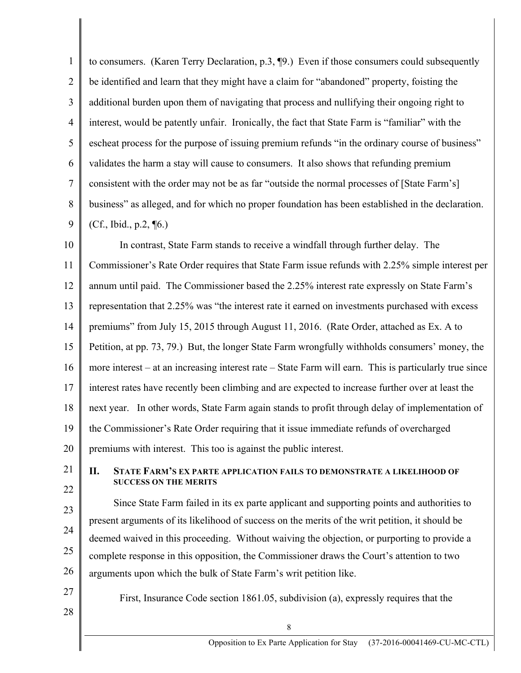1 2 3 4 5 6 7 8 9 to consumers. (Karen Terry Declaration, p.3, ¶9.) Even if those consumers could subsequently be identified and learn that they might have a claim for "abandoned" property, foisting the additional burden upon them of navigating that process and nullifying their ongoing right to interest, would be patently unfair. Ironically, the fact that State Farm is "familiar" with the escheat process for the purpose of issuing premium refunds "in the ordinary course of business" validates the harm a stay will cause to consumers. It also shows that refunding premium consistent with the order may not be as far "outside the normal processes of [State Farm's] business" as alleged, and for which no proper foundation has been established in the declaration.  $(Cf., Ibid., p.2, \P6.)$ 

10 11 12 13 14 15 16 17 18 19 20 In contrast, State Farm stands to receive a windfall through further delay. The Commissioner's Rate Order requires that State Farm issue refunds with 2.25% simple interest per annum until paid. The Commissioner based the 2.25% interest rate expressly on State Farm's representation that 2.25% was "the interest rate it earned on investments purchased with excess premiums" from July 15, 2015 through August 11, 2016. (Rate Order, attached as Ex. A to Petition, at pp. 73, 79.) But, the longer State Farm wrongfully withholds consumers' money, the more interest – at an increasing interest rate – State Farm will earn. This is particularly true since interest rates have recently been climbing and are expected to increase further over at least the next year. In other words, State Farm again stands to profit through delay of implementation of the Commissioner's Rate Order requiring that it issue immediate refunds of overcharged premiums with interest. This too is against the public interest.

21 22

## **II. STATE FARM'S EX PARTE APPLICATION FAILS TO DEMONSTRATE A LIKELIHOOD OF SUCCESS ON THE MERITS**

23 24 25 26 Since State Farm failed in its ex parte applicant and supporting points and authorities to present arguments of its likelihood of success on the merits of the writ petition, it should be deemed waived in this proceeding. Without waiving the objection, or purporting to provide a complete response in this opposition, the Commissioner draws the Court's attention to two arguments upon which the bulk of State Farm's writ petition like.

27 28

First, Insurance Code section 1861.05, subdivision (a), expressly requires that the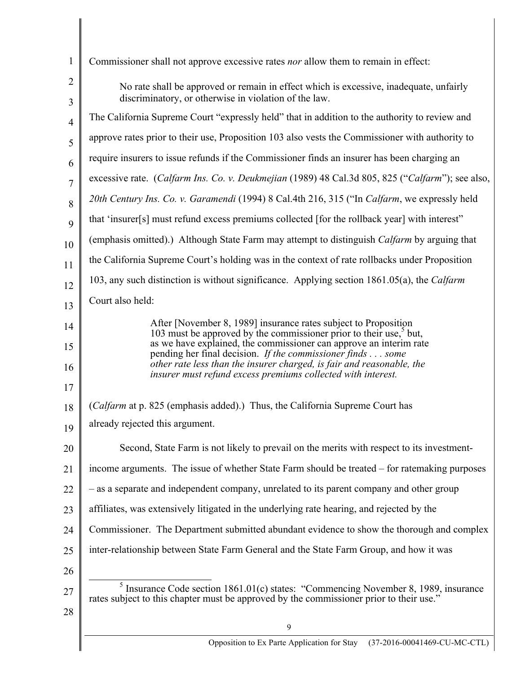| $\mathbf{1}$        | Commissioner shall not approve excessive rates <i>nor</i> allow them to remain in effect:                                                            |
|---------------------|------------------------------------------------------------------------------------------------------------------------------------------------------|
| $\overline{2}$<br>3 | No rate shall be approved or remain in effect which is excessive, inadequate, unfairly<br>discriminatory, or otherwise in violation of the law.      |
| $\overline{4}$      | The California Supreme Court "expressly held" that in addition to the authority to review and                                                        |
| 5                   | approve rates prior to their use, Proposition 103 also vests the Commissioner with authority to                                                      |
| 6                   | require insurers to issue refunds if the Commissioner finds an insurer has been charging an                                                          |
| 7                   | excessive rate. (Calfarm Ins. Co. v. Deukmejian (1989) 48 Cal.3d 805, 825 ("Calfarm"); see also,                                                     |
| 8                   | 20th Century Ins. Co. v. Garamendi (1994) 8 Cal.4th 216, 315 ("In Calfarm, we expressly held                                                         |
| 9                   | that 'insurer[s] must refund excess premiums collected [for the rollback year] with interest"                                                        |
| 10                  | (emphasis omitted).) Although State Farm may attempt to distinguish <i>Calfarm</i> by arguing that                                                   |
| 11                  | the California Supreme Court's holding was in the context of rate rollbacks under Proposition                                                        |
| 12                  | 103, any such distinction is without significance. Applying section 1861.05(a), the Calfarm                                                          |
| 13                  | Court also held:                                                                                                                                     |
| 14                  | After [November 8, 1989] insurance rates subject to Proposition                                                                                      |
| 15                  | 103 must be approved by the commissioner prior to their use, <sup>5</sup> but,<br>as we have explained, the commissioner can approve an interim rate |
| 16                  | pending her final decision. If the commissioner finds some<br>other rate less than the insurer charged, is fair and reasonable, the                  |
| 17                  | insurer must refund excess premiums collected with interest.                                                                                         |
| 18                  | (Calfarm at p. 825 (emphasis added).) Thus, the California Supreme Court has                                                                         |
| 19                  | already rejected this argument.                                                                                                                      |
| 20                  | Second, State Farm is not likely to prevail on the merits with respect to its investment-                                                            |
| 21                  | income arguments. The issue of whether State Farm should be treated – for ratemaking purposes                                                        |
| 22                  | - as a separate and independent company, unrelated to its parent company and other group                                                             |
|                     | affiliates, was extensively litigated in the underlying rate hearing, and rejected by the                                                            |
| 23                  | Commissioner. The Department submitted abundant evidence to show the thorough and complex                                                            |
| 24                  |                                                                                                                                                      |
| 25                  | inter-relationship between State Farm General and the State Farm Group, and how it was                                                               |
| 26                  | Insurance Code section 1861.01(c) states: "Commencing November 8, 1989, insurance<br>$\mathfrak{p}$                                                  |
| 27                  | rates subject to this chapter must be approved by the commissioner prior to their use."                                                              |
| 28                  | 9                                                                                                                                                    |
|                     | Opposition to Ex Parte Application for Stay<br>(37-2016-00041469-CU-MC-CTL)                                                                          |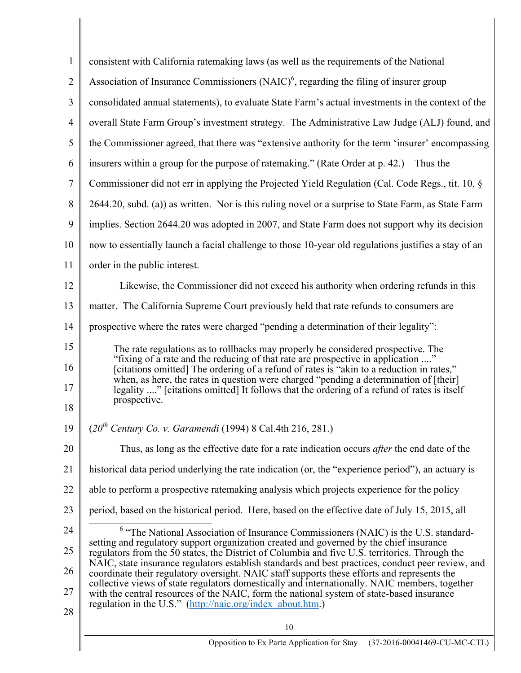| 1              | consistent with California ratemaking laws (as well as the requirements of the National                                                                                                             |
|----------------|-----------------------------------------------------------------------------------------------------------------------------------------------------------------------------------------------------|
| $\overline{2}$ | Association of Insurance Commissioners $(NAIC)^6$ , regarding the filing of insurer group                                                                                                           |
| 3              | consolidated annual statements), to evaluate State Farm's actual investments in the context of the                                                                                                  |
| 4              | overall State Farm Group's investment strategy. The Administrative Law Judge (ALJ) found, and                                                                                                       |
| 5              | the Commissioner agreed, that there was "extensive authority for the term 'insurer' encompassing                                                                                                    |
| 6              | insurers within a group for the purpose of ratemaking." (Rate Order at p. 42.) Thus the                                                                                                             |
| 7              | Commissioner did not err in applying the Projected Yield Regulation (Cal. Code Regs., tit. 10, §                                                                                                    |
| 8              | 2644.20, subd. (a)) as written. Nor is this ruling novel or a surprise to State Farm, as State Farm                                                                                                 |
| 9              | implies. Section 2644.20 was adopted in 2007, and State Farm does not support why its decision                                                                                                      |
| 10             | now to essentially launch a facial challenge to those 10-year old regulations justifies a stay of an                                                                                                |
| 11             | order in the public interest.                                                                                                                                                                       |
| 12             | Likewise, the Commissioner did not exceed his authority when ordering refunds in this                                                                                                               |
| 13             | matter. The California Supreme Court previously held that rate refunds to consumers are                                                                                                             |
| 14             | prospective where the rates were charged "pending a determination of their legality":                                                                                                               |
| 15             | The rate regulations as to rollbacks may properly be considered prospective. The<br>"fixing of a rate and the reducing of that rate are prospective in application "                                |
| 16             | [citations omitted] The ordering of a refund of rates is "akin to a reduction in rates,"<br>when, as here, the rates in question were charged "pending a determination of [their]                   |
| 17             | legality " [citations omitted] It follows that the ordering of a refund of rates is itself<br>prospective.                                                                                          |
| 18             |                                                                                                                                                                                                     |
| 19             | $(20^{th}$ Century Co. v. Garamendi (1994) 8 Cal.4th 216, 281.)                                                                                                                                     |
| 20             | Thus, as long as the effective date for a rate indication occurs <i>after</i> the end date of the                                                                                                   |
| 21             | historical data period underlying the rate indication (or, the "experience period"), an actuary is                                                                                                  |
| 22             | able to perform a prospective ratemaking analysis which projects experience for the policy                                                                                                          |
| 23             | period, based on the historical period. Here, based on the effective date of July 15, 2015, all                                                                                                     |
| 24             | $6$ "The National Association of Insurance Commissioners (NAIC) is the U.S. standard-<br>setting and regulatory support organization created and governed by the chief insurance                    |
| 25             | regulators from the 50 states, the District of Columbia and five U.S. territories. Through the<br>NAIC, state insurance regulators establish standards and best practices, conduct peer review, and |
| 26             | coordinate their regulatory oversight. NAIC staff supports these efforts and represents the<br>collective views of state regulators domestically and internationally. NAIC members, together        |
| 27             | with the central resources of the NAIC, form the national system of state-based insurance<br>regulation in the U.S." (http://naic.org/index about.htm.)                                             |
| 28             | 10                                                                                                                                                                                                  |
|                | (37-2016-00041469-CU-MC-CTL)                                                                                                                                                                        |
|                | Opposition to Ex Parte Application for Stay                                                                                                                                                         |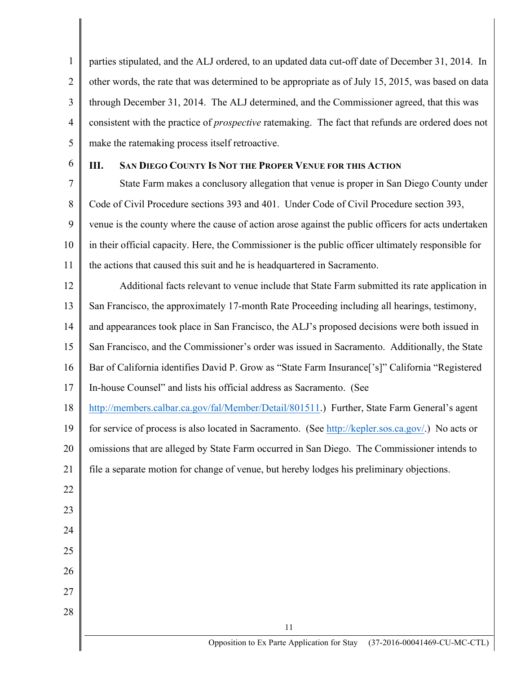1 2 3 4 5 parties stipulated, and the ALJ ordered, to an updated data cut-off date of December 31, 2014. In other words, the rate that was determined to be appropriate as of July 15, 2015, was based on data through December 31, 2014. The ALJ determined, and the Commissioner agreed, that this was consistent with the practice of *prospective* ratemaking. The fact that refunds are ordered does not make the ratemaking process itself retroactive.

6

22

23

24

25

26

27

28

## **III. SAN DIEGO COUNTY IS NOT THE PROPER VENUE FOR THIS ACTION**

7 8 9 10 11 State Farm makes a conclusory allegation that venue is proper in San Diego County under Code of Civil Procedure sections 393 and 401. Under Code of Civil Procedure section 393, venue is the county where the cause of action arose against the public officers for acts undertaken in their official capacity. Here, the Commissioner is the public officer ultimately responsible for the actions that caused this suit and he is headquartered in Sacramento.

12 13 14 15 16 17 Additional facts relevant to venue include that State Farm submitted its rate application in San Francisco, the approximately 17-month Rate Proceeding including all hearings, testimony, and appearances took place in San Francisco, the ALJ's proposed decisions were both issued in San Francisco, and the Commissioner's order was issued in Sacramento. Additionally, the State Bar of California identifies David P. Grow as "State Farm Insurance['s]" California "Registered In-house Counsel" and lists his official address as Sacramento. (See

18 http://members.calbar.ca.gov/fal/Member/Detail/801511.) Further, State Farm General's agent

19 20 21 for service of process is also located in Sacramento. (See http://kepler.sos.ca.gov/.) No acts or omissions that are alleged by State Farm occurred in San Diego. The Commissioner intends to file a separate motion for change of venue, but hereby lodges his preliminary objections.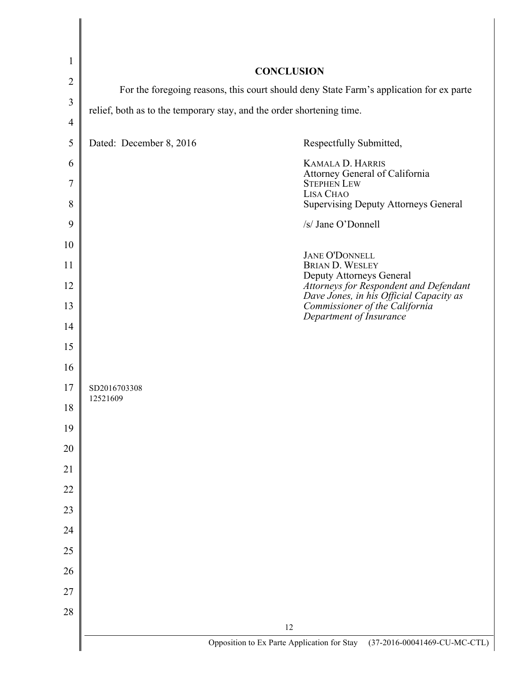| $\mathbf{1}$   |                                                                                         |                                                                                                                     |
|----------------|-----------------------------------------------------------------------------------------|---------------------------------------------------------------------------------------------------------------------|
| $\overline{2}$ | <b>CONCLUSION</b>                                                                       |                                                                                                                     |
| 3              | For the foregoing reasons, this court should deny State Farm's application for ex parte |                                                                                                                     |
| $\overline{4}$ | relief, both as to the temporary stay, and the order shortening time.                   |                                                                                                                     |
| 5              | Dated: December 8, 2016                                                                 | Respectfully Submitted,                                                                                             |
| 6              |                                                                                         | <b>KAMALA D. HARRIS</b>                                                                                             |
| 7              |                                                                                         | Attorney General of California<br><b>STEPHEN LEW</b>                                                                |
| 8              |                                                                                         | LISA CHAO<br><b>Supervising Deputy Attorneys General</b>                                                            |
| 9              |                                                                                         | /s/ Jane O'Donnell                                                                                                  |
| 10             |                                                                                         | <b>JANE O'DONNELL</b>                                                                                               |
| 11             |                                                                                         | <b>BRIAN D. WESLEY</b><br>Deputy Attorneys General                                                                  |
| 12             |                                                                                         | Attorneys for Respondent and Defendant<br>Dave Jones, in his Official Capacity as<br>Commissioner of the California |
| 13             |                                                                                         | Department of Insurance                                                                                             |
| 14             |                                                                                         |                                                                                                                     |
| 15             |                                                                                         |                                                                                                                     |
| 16             |                                                                                         |                                                                                                                     |
| 17             | SD2016703308<br>12521609                                                                |                                                                                                                     |
| 18             |                                                                                         |                                                                                                                     |
| 19             |                                                                                         |                                                                                                                     |
| 20             |                                                                                         |                                                                                                                     |
| 21             |                                                                                         |                                                                                                                     |
| 22             |                                                                                         |                                                                                                                     |
| 23             |                                                                                         |                                                                                                                     |
| 24             |                                                                                         |                                                                                                                     |
| 25             |                                                                                         |                                                                                                                     |
| 26             |                                                                                         |                                                                                                                     |
| 27             |                                                                                         |                                                                                                                     |
| 28             |                                                                                         | 12                                                                                                                  |
|                |                                                                                         | Opposition to Ex Parte Application for Stay (37-2016-00041469-CU-MC-CTL)                                            |

 $\blacksquare$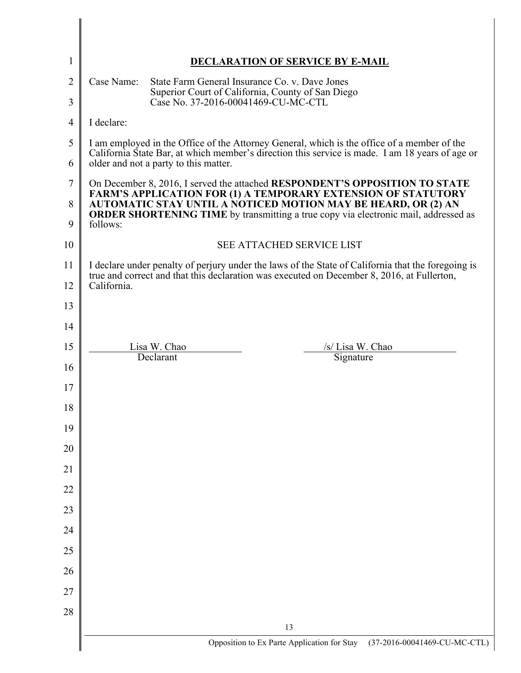|                | <b>DECLARATION OF SERVICE BY E-MAIL</b>                                                                                                                                                                                                                                                                                        |
|----------------|--------------------------------------------------------------------------------------------------------------------------------------------------------------------------------------------------------------------------------------------------------------------------------------------------------------------------------|
|                | Case Name:<br>State Farm General Insurance Co. v. Dave Jones                                                                                                                                                                                                                                                                   |
| $\overline{2}$ | Superior Court of California, County of San Diego<br>Case No. 37-2016-00041469-CU-MC-CTL                                                                                                                                                                                                                                       |
| 4              | I declare:                                                                                                                                                                                                                                                                                                                     |
| 5<br>6         | I am employed in the Office of the Attorney General, which is the office of a member of the<br>California State Bar, at which member's direction this service is made. I am 18 years of age or<br>older and not a party to this matter.                                                                                        |
| 7<br>8<br>9    | On December 8, 2016, I served the attached RESPONDENT'S OPPOSITION TO STATE<br><b>FARM'S APPLICATION FOR (1) A TEMPORARY EXTENSION OF STATUTORY</b><br>AUTOMATIC STAY UNTIL A NOTICED MOTION MAY BE HEARD, OR (2) AN<br><b>ORDER SHORTENING TIME</b> by transmitting a true copy via electronic mail, addressed as<br>follows: |
| 10             | <b>SEE ATTACHED SERVICE LIST</b>                                                                                                                                                                                                                                                                                               |
|                | I declare under penalty of perjury under the laws of the State of California that the foregoing is<br>true and correct and that this declaration was executed on December 8, 2016, at Fullerton,<br>California.                                                                                                                |
|                |                                                                                                                                                                                                                                                                                                                                |
| 14             |                                                                                                                                                                                                                                                                                                                                |
|                | Lisa W. Chao<br>/s/ Lisa W. Chao                                                                                                                                                                                                                                                                                               |
| 16             | Declarant<br>Signature                                                                                                                                                                                                                                                                                                         |
|                |                                                                                                                                                                                                                                                                                                                                |
| 18             |                                                                                                                                                                                                                                                                                                                                |
|                |                                                                                                                                                                                                                                                                                                                                |
|                |                                                                                                                                                                                                                                                                                                                                |
|                |                                                                                                                                                                                                                                                                                                                                |
|                |                                                                                                                                                                                                                                                                                                                                |
|                |                                                                                                                                                                                                                                                                                                                                |
|                |                                                                                                                                                                                                                                                                                                                                |
|                |                                                                                                                                                                                                                                                                                                                                |
| 26             |                                                                                                                                                                                                                                                                                                                                |
|                |                                                                                                                                                                                                                                                                                                                                |
|                | 13                                                                                                                                                                                                                                                                                                                             |

 $\overline{\phantom{a}}$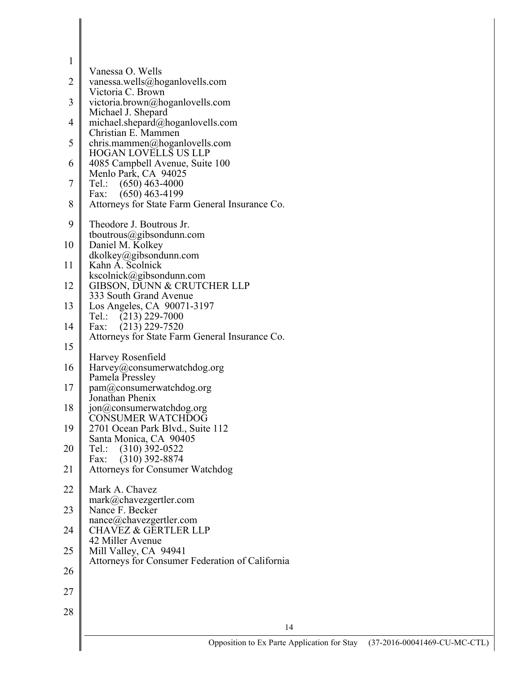|              | Opposition to Ex Parte Application for Stay                                | $(37-2016$ |
|--------------|----------------------------------------------------------------------------|------------|
|              | 14                                                                         |            |
| 28           |                                                                            |            |
| 27           |                                                                            |            |
| 26           |                                                                            |            |
| 25           | Mill Valley, CA 94941<br>Attorneys for Consumer Federation of California   |            |
| 24           | <b>CHAVEZ &amp; GERTLER LLP</b><br>42 Miller Avenue                        |            |
| 23           | Nance F. Becker<br>nance@chavezgertler.com                                 |            |
| 22           | Mark A. Chavez<br>mark@chavezgertler.com                                   |            |
| 21           | Attorneys for Consumer Watchdog                                            |            |
| 20           | $Tel$ ::<br>$(310)$ 392-0522<br>$(310)$ 392-8874<br>Fax:                   |            |
| 19           | 2701 Ocean Park Blvd., Suite 112<br>Santa Monica, CA 90405                 |            |
| 18           | jon@consumerwatchdog.org<br><b>CONSUMER WATCHDOG</b>                       |            |
| 17           | pam@consumerwatchdog.org<br>Jonathan Phenix                                |            |
| 16           | Harvey@consumerwatchdog.org<br>Pamela Pressley                             |            |
| 15           | Harvey Rosenfield                                                          |            |
| 14           | $(213)$ 229-7520<br>Fax:<br>Attorneys for State Farm General Insurance Co. |            |
| 13           | Los Angeles, CA 90071-3197<br>Tel.: $(213)$ 229-7000                       |            |
| 12           | GIBSON, DUNN & CRUTCHER LLP<br>333 South Grand Avenue                      |            |
| 11           | Kahn A. Scolnick<br>kscolnick@gibsondunn.com                               |            |
| 10           | Daniel M. Kolkey<br>$dk$ olkey@gibsondunn.com                              |            |
|              | tboutrous@gibsondunn.com                                                   |            |
| 9            | Theodore J. Boutrous Jr.                                                   |            |
| 8            | $(650)$ 463-4199<br>Fax:<br>Attorneys for State Farm General Insurance Co. |            |
| 7            | Menlo Park, CA 94025<br>$Tel$ :<br>$(650)$ 463-4000                        |            |
| 6            | <b>HOGAN LOVELLS US LLP</b><br>4085 Campbell Avenue, Suite 100             |            |
| 5            | Christian E. Mammen<br>chris.mammen@hoganlovells.com                       |            |
| 4            | Michael J. Shepard<br>michael.shepard@hoganlovells.com                     |            |
| 3            | Victoria C. Brown<br>victoria.brown@hoganlovells.com                       |            |
| 2            | vanessa.wells@hoganlovells.com                                             |            |
| $\mathbf{1}$ | Vanessa O. Wells                                                           |            |
|              |                                                                            |            |